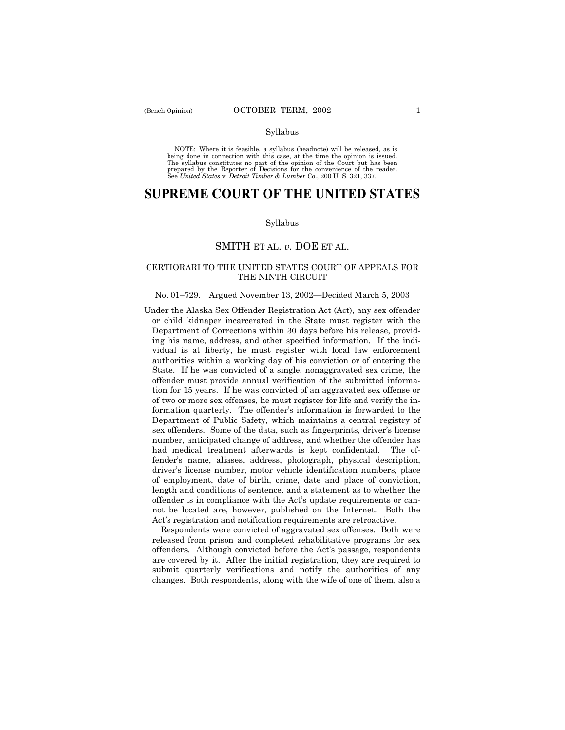NOTE: Where it is feasible, a syllabus (headnote) will be released, as is being done in connection with this case, at the time the opinion is issued. The syllabus constitutes no part of the opinion of the Court but has been<br>prepared by the Reporter of Decisions for the convenience of the reader.<br>See United States v. Detroit Timber & Lumber Co., 200 U. S. 321, 337.

# **SUPREME COURT OF THE UNITED STATES**

#### Syllabus

# SMITH ET AL. *v.* DOE ET AL.

## CERTIORARI TO THE UNITED STATES COURT OF APPEALS FOR THE NINTH CIRCUIT

## No. 01–729. Argued November 13, 2002–Decided March 5, 2003

Under the Alaska Sex Offender Registration Act (Act), any sex offender or child kidnaper incarcerated in the State must register with the Department of Corrections within 30 days before his release, providing his name, address, and other specified information. If the individual is at liberty, he must register with local law enforcement authorities within a working day of his conviction or of entering the State. If he was convicted of a single, nonaggravated sex crime, the offender must provide annual verification of the submitted information for 15 years. If he was convicted of an aggravated sex offense or of two or more sex offenses, he must register for life and verify the information quarterly. The offender's information is forwarded to the Department of Public Safety, which maintains a central registry of sex offenders. Some of the data, such as fingerprints, driver's license number, anticipated change of address, and whether the offender has had medical treatment afterwards is kept confidential. The offender's name, aliases, address, photograph, physical description, driver's license number, motor vehicle identification numbers, place of employment, date of birth, crime, date and place of conviction, length and conditions of sentence, and a statement as to whether the offender is in compliance with the Act's update requirements or cannot be located are, however, published on the Internet. Both the Act's registration and notification requirements are retroactive.

Respondents were convicted of aggravated sex offenses. Both were released from prison and completed rehabilitative programs for sex offenders. Although convicted before the Actís passage, respondents are covered by it. After the initial registration, they are required to submit quarterly verifications and notify the authorities of any changes. Both respondents, along with the wife of one of them, also a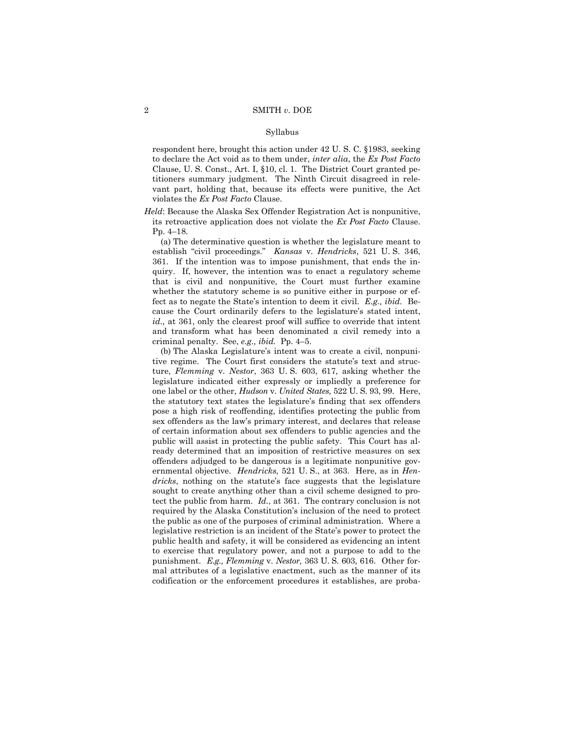respondent here, brought this action under 42 U. S. C. ß1983, seeking to declare the Act void as to them under, *inter alia*, the *Ex Post Facto* Clause, U. S. Const., Art. I, ß10, cl. 1. The District Court granted petitioners summary judgment. The Ninth Circuit disagreed in relevant part, holding that, because its effects were punitive, the Act violates the *Ex Post Facto* Clause.

*Held*: Because the Alaska Sex Offender Registration Act is nonpunitive, its retroactive application does not violate the *Ex Post Facto* Clause. Pp. 4-18.

(a) The determinative question is whether the legislature meant to establish "civil proceedings." *Kansas* v. *Hendricks*, 521 U.S. 346, 361. If the intention was to impose punishment, that ends the inquiry. If, however, the intention was to enact a regulatory scheme that is civil and nonpunitive, the Court must further examine whether the statutory scheme is so punitive either in purpose or effect as to negate the State's intention to deem it civil. *E.g., ibid.* Because the Court ordinarily defers to the legislature's stated intent, *id.,* at 361, only the clearest proof will suffice to override that intent and transform what has been denominated a civil remedy into a criminal penalty. See,  $e.g., ibid.$  Pp.  $4-5.$ 

(b) The Alaska Legislatureís intent was to create a civil, nonpunitive regime. The Court first considers the statute's text and structure, *Flemming* v. *Nestor*, 363 U. S. 603, 617, asking whether the legislature indicated either expressly or impliedly a preference for one label or the other, *Hudson* v. *United States,* 522 U. S. 93, 99. Here, the statutory text states the legislature's finding that sex offenders pose a high risk of reoffending, identifies protecting the public from sex offenders as the lawís primary interest, and declares that release of certain information about sex offenders to public agencies and the public will assist in protecting the public safety. This Court has already determined that an imposition of restrictive measures on sex offenders adjudged to be dangerous is a legitimate nonpunitive governmental objective. *Hendricks,* 521 U. S., at 363. Here, as in *Hendricks*, nothing on the statute's face suggests that the legislature sought to create anything other than a civil scheme designed to protect the public from harm. *Id.*, at 361. The contrary conclusion is not required by the Alaska Constitution's inclusion of the need to protect the public as one of the purposes of criminal administration. Where a legislative restriction is an incident of the State's power to protect the public health and safety, it will be considered as evidencing an intent to exercise that regulatory power, and not a purpose to add to the punishment. *E.g., Flemming* v. *Nestor,* 363 U. S. 603, 616. Other formal attributes of a legislative enactment, such as the manner of its codification or the enforcement procedures it establishes, are proba-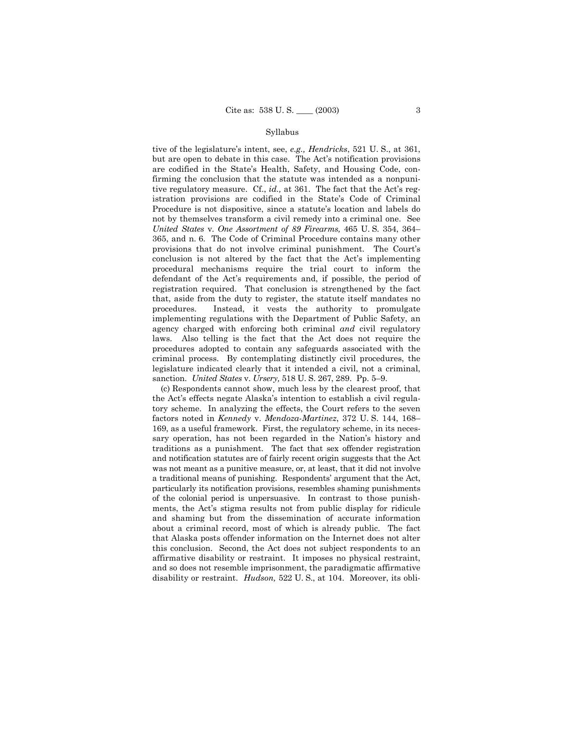tive of the legislature's intent, see, *e.g., Hendricks*, 521 U.S., at 361, but are open to debate in this case. The Act's notification provisions are codified in the Stateís Health, Safety, and Housing Code, confirming the conclusion that the statute was intended as a nonpunitive regulatory measure. Cf., *id.*, at 361. The fact that the Act's registration provisions are codified in the State's Code of Criminal Procedure is not dispositive, since a statute's location and labels do not by themselves transform a civil remedy into a criminal one. See *United States v. One Assortment of 89 Firearms, 465 U.S. 354, 364* $-$ 365, and n. 6. The Code of Criminal Procedure contains many other provisions that do not involve criminal punishment. The Court's conclusion is not altered by the fact that the Act's implementing procedural mechanisms require the trial court to inform the defendant of the Act's requirements and, if possible, the period of registration required. That conclusion is strengthened by the fact that, aside from the duty to register, the statute itself mandates no procedures. Instead, it vests the authority to promulgate implementing regulations with the Department of Public Safety, an agency charged with enforcing both criminal *and* civil regulatory laws. Also telling is the fact that the Act does not require the procedures adopted to contain any safeguards associated with the criminal process. By contemplating distinctly civil procedures, the legislature indicated clearly that it intended a civil, not a criminal, sanction. *United States v. Ursery*, 518 U. S. 267, 289. Pp. 5–9.

(c) Respondents cannot show, much less by the clearest proof, that the Act's effects negate Alaska's intention to establish a civil regulatory scheme. In analyzing the effects, the Court refers to the seven factors noted in *Kennedy* v. *Mendoza-Martinez*, 372 U.S. 144, 168– 169, as a useful framework. First, the regulatory scheme, in its necessary operation, has not been regarded in the Nation's history and traditions as a punishment. The fact that sex offender registration and notification statutes are of fairly recent origin suggests that the Act was not meant as a punitive measure, or, at least, that it did not involve a traditional means of punishing. Respondentsí argument that the Act, particularly its notification provisions, resembles shaming punishments of the colonial period is unpersuasive. In contrast to those punishments, the Act's stigma results not from public display for ridicule and shaming but from the dissemination of accurate information about a criminal record, most of which is already public. The fact that Alaska posts offender information on the Internet does not alter this conclusion. Second, the Act does not subject respondents to an affirmative disability or restraint. It imposes no physical restraint, and so does not resemble imprisonment, the paradigmatic affirmative disability or restraint. *Hudson,* 522 U. S., at 104. Moreover, its obli-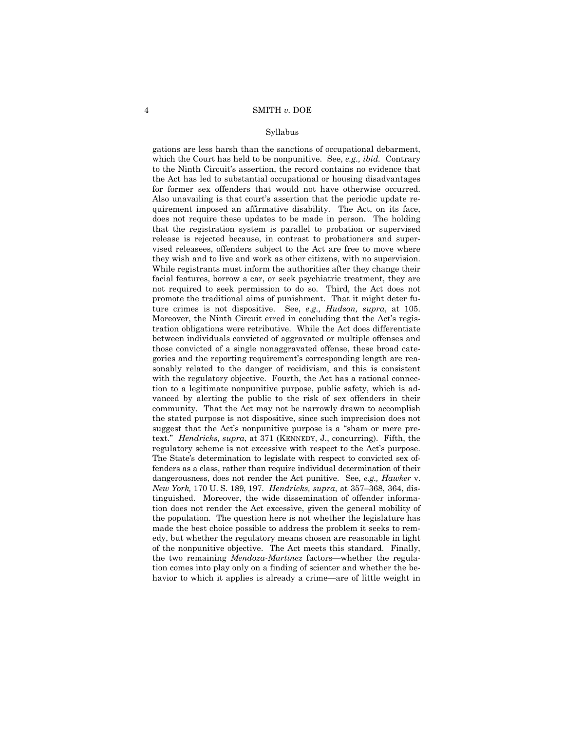gations are less harsh than the sanctions of occupational debarment, which the Court has held to be nonpunitive. See, *e.g., ibid.* Contrary to the Ninth Circuitís assertion, the record contains no evidence that the Act has led to substantial occupational or housing disadvantages for former sex offenders that would not have otherwise occurred. Also unavailing is that court's assertion that the periodic update requirement imposed an affirmative disability. The Act, on its face, does not require these updates to be made in person. The holding that the registration system is parallel to probation or supervised release is rejected because, in contrast to probationers and supervised releasees, offenders subject to the Act are free to move where they wish and to live and work as other citizens, with no supervision. While registrants must inform the authorities after they change their facial features, borrow a car, or seek psychiatric treatment, they are not required to seek permission to do so. Third, the Act does not promote the traditional aims of punishment. That it might deter future crimes is not dispositive. See, *e.g., Hudson, supra*, at 105. Moreover, the Ninth Circuit erred in concluding that the Act's registration obligations were retributive. While the Act does differentiate between individuals convicted of aggravated or multiple offenses and those convicted of a single nonaggravated offense, these broad categories and the reporting requirement's corresponding length are reasonably related to the danger of recidivism, and this is consistent with the regulatory objective. Fourth, the Act has a rational connection to a legitimate nonpunitive purpose, public safety, which is advanced by alerting the public to the risk of sex offenders in their community. That the Act may not be narrowly drawn to accomplish the stated purpose is not dispositive, since such imprecision does not suggest that the Act's nonpunitive purpose is a "sham or mere pretext.î *Hendricks, supra*, at 371 (KENNEDY, J., concurring). Fifth, the regulatory scheme is not excessive with respect to the Act's purpose. The State's determination to legislate with respect to convicted sex offenders as a class, rather than require individual determination of their dangerousness, does not render the Act punitive. See, *e.g., Hawker* v. *New York,* 170 U.S. 189, 197. *Hendricks, supra, at 357–368, 364, dis*tinguished. Moreover, the wide dissemination of offender information does not render the Act excessive, given the general mobility of the population. The question here is not whether the legislature has made the best choice possible to address the problem it seeks to remedy, but whether the regulatory means chosen are reasonable in light of the nonpunitive objective. The Act meets this standard. Finally, the two remaining *Mendoza-Martinez* factors—whether the regulation comes into play only on a finding of scienter and whether the behavior to which it applies is already a crime—are of little weight in